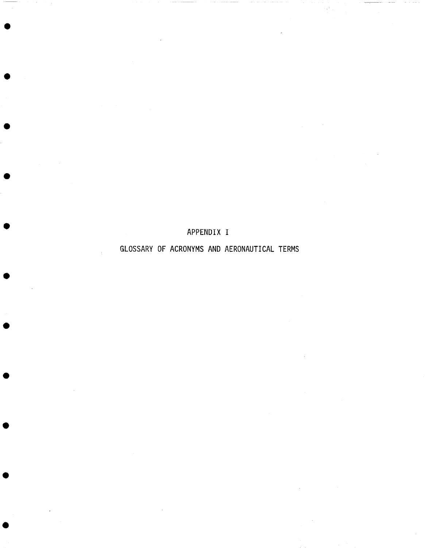## APPENDIX I

## GLOSSARY OF ACRONYMS AND AERONAUTICAL TERMS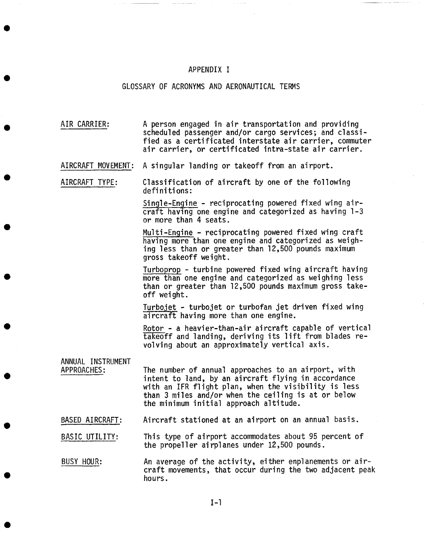## APPENDIX I

## GLOSSARY OF ACRONYMS AND AERONAUTICAL TERMS

AIR CARRIER: A person engaged in air transportation and providing scheduled passenger and/or cargo services; and classified as a certificated interstate air carrier, commuter air carrier, or certificated intra-state air carrier.

AIRCRAFT MOVEMENT: A singular landing or takeoff from an airport.

AIRCRAFT TYPE: Classification of aircraft by one of the following definitions:

> Single-Engine - reciprocating powered fixed wing aircraft having one engine and categorized as having I-3 or more than 4 seats.

> Multi-Engine - reciprocating powered fixed wing craft having more than one engine and categorized as weighing less than or greater than 12,500 pounds maximum gross takeoff weight.

Turboprop - turbine powered fixed wing aircraft having more than one engine and categorized as weighing less than or greater than 12,500 pounds maximum gross takeoff weight.

Turbojet - turbojet or turbofan jet driven fixed wing aircraft having more than one engine.

Rotor - a heavier-than-air aircraft capable of vertical takeoff and landing, deriving its lift from blades revolving about an approximately vertical axis.

ANNUAL INSTRUMENT APPROACHES:

The number of annual approaches to an airport, with intent to land, by an aircraft flying in accordance with an IFR flight plan, when the visibility is less than 3 miles and/or when the ceiling is at or below the minimum initial approach altitude.

BASED AIRCRAFT: Aircraft stationed at an airport on an annual basis.

BASIC UTILITY: This type of airport accommodates about 95 percent of the propeller airplanes under 12,500 pounds.

BUSY HOUR: An average of the activity, either enplanements or aircraft movements, that occur during the two adjacent peak hours.